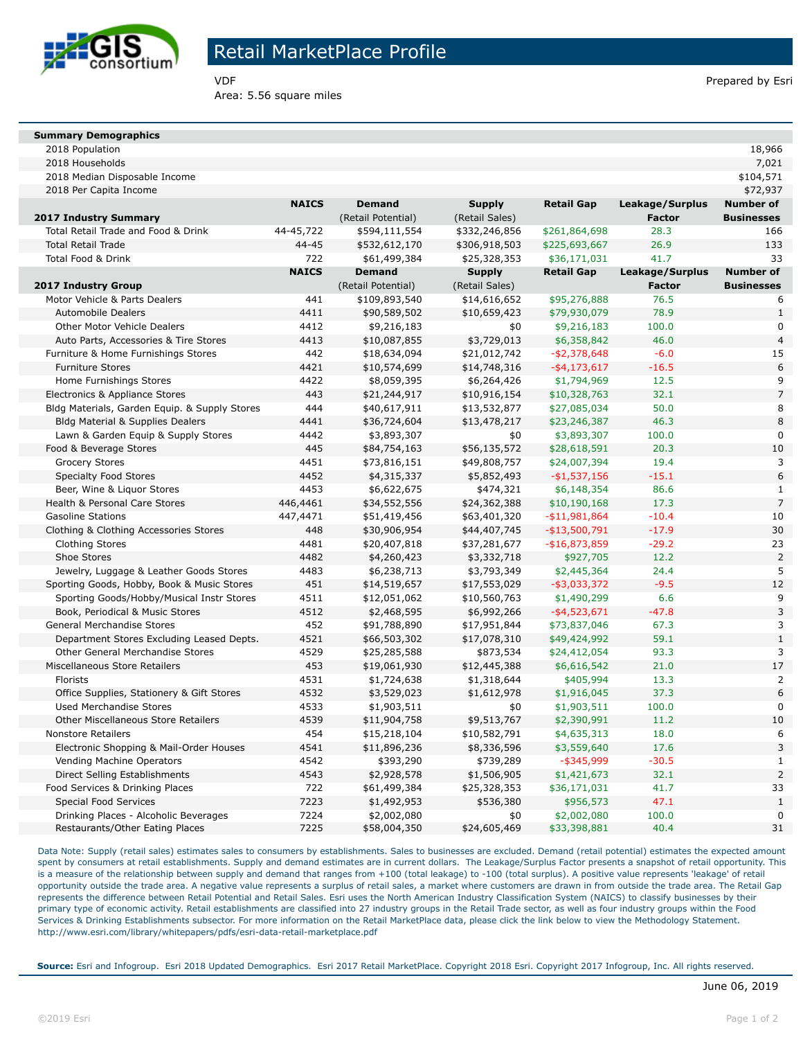

**Summary Demographics**

## Retail MarketPlace Profile

Area: 5.56 square miles

|  | June 06, 2019 |
|--|---------------|

| VDF | Prepared by Esri |
|-----|------------------|

| 2018 Population                               |              |                    |                |                   |                 | 18,966            |
|-----------------------------------------------|--------------|--------------------|----------------|-------------------|-----------------|-------------------|
| 2018 Households                               |              |                    |                |                   |                 | 7,021             |
| 2018 Median Disposable Income                 |              |                    |                |                   |                 | \$104,571         |
| 2018 Per Capita Income                        |              |                    |                |                   |                 | \$72,937          |
|                                               | <b>NAICS</b> | <b>Demand</b>      | <b>Supply</b>  | <b>Retail Gap</b> | Leakage/Surplus | <b>Number of</b>  |
| 2017 Industry Summary                         |              | (Retail Potential) | (Retail Sales) |                   | <b>Factor</b>   | <b>Businesses</b> |
| Total Retail Trade and Food & Drink           | 44-45,722    | \$594,111,554      | \$332,246,856  | \$261,864,698     | 28.3            | 166               |
| <b>Total Retail Trade</b>                     | 44-45        | \$532,612,170      | \$306,918,503  | \$225,693,667     | 26.9            | 133               |
| Total Food & Drink                            | 722          | \$61,499,384       | \$25,328,353   | \$36,171,031      | 41.7            | 33                |
|                                               | <b>NAICS</b> | <b>Demand</b>      | <b>Supply</b>  | <b>Retail Gap</b> | Leakage/Surplus | <b>Number of</b>  |
| 2017 Industry Group                           |              | (Retail Potential) | (Retail Sales) |                   | <b>Factor</b>   | <b>Businesses</b> |
| Motor Vehicle & Parts Dealers                 | 441          | \$109,893,540      | \$14,616,652   | \$95,276,888      | 76.5            | 6                 |
| <b>Automobile Dealers</b>                     | 4411         | \$90,589,502       | \$10,659,423   | \$79,930,079      | 78.9            | $\mathbf{1}$      |
| Other Motor Vehicle Dealers                   | 4412         | \$9,216,183        | \$0            | \$9,216,183       | 100.0           | 0                 |
| Auto Parts, Accessories & Tire Stores         | 4413         | \$10,087,855       | \$3,729,013    | \$6,358,842       | 46.0            | $\overline{4}$    |
| Furniture & Home Furnishings Stores           | 442          | \$18,634,094       | \$21,012,742   | $- $2,378,648$    | $-6.0$          | 15                |
| <b>Furniture Stores</b>                       | 4421         | \$10,574,699       | \$14,748,316   | $-$ \$4,173,617   | $-16.5$         | 6                 |
| Home Furnishings Stores                       | 4422         | \$8,059,395        | \$6,264,426    | \$1,794,969       | 12.5            | 9                 |
| Electronics & Appliance Stores                | 443          | \$21,244,917       | \$10,916,154   | \$10,328,763      | 32.1            | $\overline{7}$    |
| Bldg Materials, Garden Equip. & Supply Stores | 444          | \$40,617,911       | \$13,532,877   | \$27,085,034      | 50.0            | 8                 |
| <b>Bldg Material &amp; Supplies Dealers</b>   | 4441         | \$36,724,604       | \$13,478,217   | \$23,246,387      | 46.3            | 8                 |
| Lawn & Garden Equip & Supply Stores           | 4442         | \$3,893,307        | \$0            | \$3,893,307       | 100.0           | 0                 |
| Food & Beverage Stores                        | 445          | \$84,754,163       | \$56,135,572   | \$28,618,591      | 20.3            | 10                |
| <b>Grocery Stores</b>                         | 4451         | \$73,816,151       | \$49,808,757   | \$24,007,394      | 19.4            | 3                 |
| <b>Specialty Food Stores</b>                  | 4452         | \$4,315,337        | \$5,852,493    | $-$1,537,156$     | $-15.1$         | 6                 |
| Beer, Wine & Liguor Stores                    | 4453         | \$6,622,675        | \$474,321      | \$6,148,354       | 86.6            | $\mathbf{1}$      |
| Health & Personal Care Stores                 | 446,4461     | \$34,552,556       | \$24,362,388   | \$10,190,168      | 17.3            | $\overline{7}$    |
| <b>Gasoline Stations</b>                      | 447,4471     | \$51,419,456       | \$63,401,320   | $- $11,981,864$   | $-10.4$         | 10                |
| Clothing & Clothing Accessories Stores        | 448          | \$30,906,954       | \$44,407,745   | $-$ \$13,500,791  | $-17.9$         | 30                |
| Clothing Stores                               | 4481         | \$20,407,818       | \$37,281,677   | $-$16,873,859$    | $-29.2$         | 23                |
| Shoe Stores                                   | 4482         | \$4,260,423        | \$3,332,718    | \$927,705         | 12.2            | $\overline{2}$    |
| Jewelry, Luggage & Leather Goods Stores       | 4483         | \$6,238,713        | \$3,793,349    | \$2,445,364       | 24.4            | 5                 |
| Sporting Goods, Hobby, Book & Music Stores    | 451          | \$14,519,657       | \$17,553,029   | $-$ \$3,033,372   | $-9.5$          | 12                |
| Sporting Goods/Hobby/Musical Instr Stores     | 4511         | \$12,051,062       | \$10,560,763   | \$1,490,299       | 6.6             | 9                 |
| Book, Periodical & Music Stores               | 4512         | \$2,468,595        | \$6,992,266    | $-$ \$4,523,671   | $-47.8$         | 3                 |
| General Merchandise Stores                    | 452          | \$91,788,890       | \$17,951,844   | \$73,837,046      | 67.3            | 3                 |
| Department Stores Excluding Leased Depts.     | 4521         | \$66,503,302       | \$17,078,310   | \$49,424,992      | 59.1            | $\mathbf{1}$      |
| Other General Merchandise Stores              | 4529         | \$25,285,588       | \$873,534      | \$24,412,054      | 93.3            | 3                 |
| Miscellaneous Store Retailers                 | 453          | \$19,061,930       | \$12,445,388   | \$6,616,542       | 21.0            | 17                |
| Florists                                      | 4531         | \$1,724,638        | \$1,318,644    | \$405,994         | 13.3            | $\overline{2}$    |
| Office Supplies, Stationery & Gift Stores     | 4532         | \$3,529,023        | \$1,612,978    | \$1,916,045       | 37.3            | 6                 |
| Used Merchandise Stores                       | 4533         | \$1,903,511        | \$0            | \$1,903,511       | 100.0           | 0                 |
| Other Miscellaneous Store Retailers           | 4539         | \$11,904,758       | \$9,513,767    | \$2,390,991       | 11.2            | 10                |
| <b>Nonstore Retailers</b>                     | 454          | \$15,218,104       | \$10,582,791   | \$4,635,313       | 18.0            | 6                 |
| Electronic Shopping & Mail-Order Houses       | 4541         | \$11,896,236       | \$8,336,596    | \$3,559,640       | 17.6            | 3                 |
| Vending Machine Operators                     | 4542         | \$393,290          | \$739,289      | $-$ \$345,999     | $-30.5$         | $\mathbf{1}$      |
| Direct Selling Establishments                 | 4543         | \$2,928,578        | \$1,506,905    | \$1,421,673       | 32.1            | $\overline{2}$    |
| Food Services & Drinking Places               | 722          | \$61,499,384       | \$25,328,353   | \$36,171,031      | 41.7            | 33                |
| <b>Special Food Services</b>                  | 7223         | \$1,492,953        | \$536,380      | \$956,573         | 47.1            | $\mathbf{1}$      |
| Drinking Places - Alcoholic Beverages         | 7224         | \$2,002,080        | \$0            | \$2,002,080       | 100.0           | 0                 |
| Restaurants/Other Eating Places               | 7225         | \$58,004,350       | \$24,605,469   | \$33,398,881      | 40.4            | 31                |
|                                               |              |                    |                |                   |                 |                   |

Data Note: Supply (retail sales) estimates sales to consumers by establishments. Sales to businesses are excluded. Demand (retail potential) estimates the expected amount spent by consumers at retail establishments. Supply and demand estimates are in current dollars. The Leakage/Surplus Factor presents a snapshot of retail opportunity. This is a measure of the relationship between supply and demand that ranges from +100 (total leakage) to -100 (total surplus). A positive value represents 'leakage' of retail opportunity outside the trade area. A negative value represents a surplus of retail sales, a market where customers are drawn in from outside the trade area. The Retail Gap represents the difference between Retail Potential and Retail Sales. Esri uses the North American Industry Classification System (NAICS) to classify businesses by their primary type of economic activity. Retail establishments are classified into 27 industry groups in the Retail Trade sector, as well as four industry groups within the Food Services & Drinking Establishments subsector. For more information on the Retail MarketPlace data, please click the link below to view the Methodology Statement. http://www.esri.com/library/whitepapers/pdfs/esri-data-retail-marketplace.pdf

**Source:** Esri and Infogroup. Esri 2018 Updated Demographics. Esri 2017 Retail MarketPlace. Copyright 2018 Esri. Copyright 2017 Infogroup, Inc. All rights reserved.